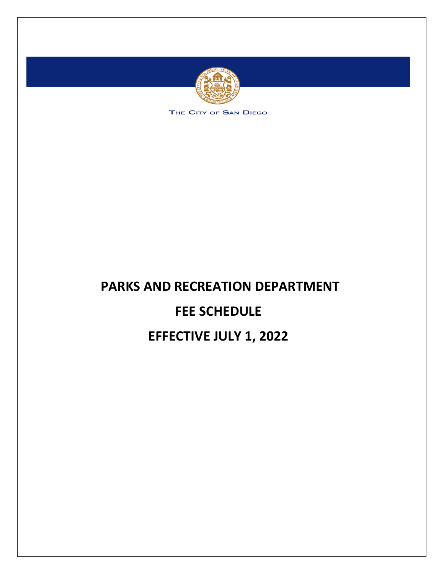

THE CITY OF SAN DIEGO

# **PARKS AND RECREATION DEPARTMENT FEE SCHEDULE EFFECTIVE JULY 1, 2022**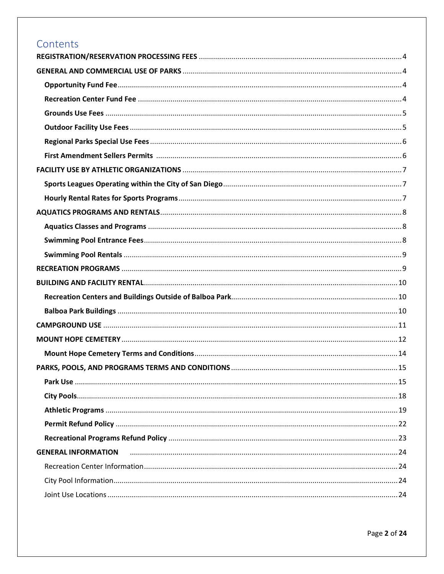# Contents

| <b>GENERAL INFORMATION</b> |  |
|----------------------------|--|
|                            |  |
|                            |  |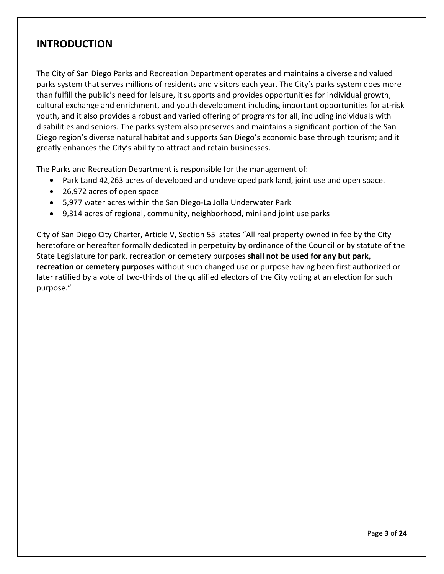# **INTRODUCTION**

The City of San Diego Parks and Recreation Department operates and maintains a diverse and valued parks system that serves millions of residents and visitors each year. The City's parks system does more than fulfill the public's need for leisure, it supports and provides opportunities for individual growth, cultural exchange and enrichment, and youth development including important opportunities for at-risk youth, and it also provides a robust and varied offering of programs for all, including individuals with disabilities and seniors. The parks system also preserves and maintains a significant portion of the San Diego region's diverse natural habitat and supports San Diego's economic base through tourism; and it greatly enhances the City's ability to attract and retain businesses.

The Parks and Recreation Department is responsible for the management of:

- Park Land 42,263 acres of developed and undeveloped park land, joint use and open space.
- 26,972 acres of open space
- 5,977 water acres within the San Diego-La Jolla Underwater Park
- 9,314 acres of regional, community, neighborhood, mini and joint use parks

City of San Diego City Charter, Article V, Section 55 states "All real property owned in fee by the City heretofore or hereafter formally dedicated in perpetuity by ordinance of the Council or by statute of the State Legislature for park, recreation or cemetery purposes **shall not be used for any but park, recreation or cemetery purposes** without such changed use or purpose having been first authorized or later ratified by a vote of two-thirds of the qualified electors of the City voting at an election for such purpose."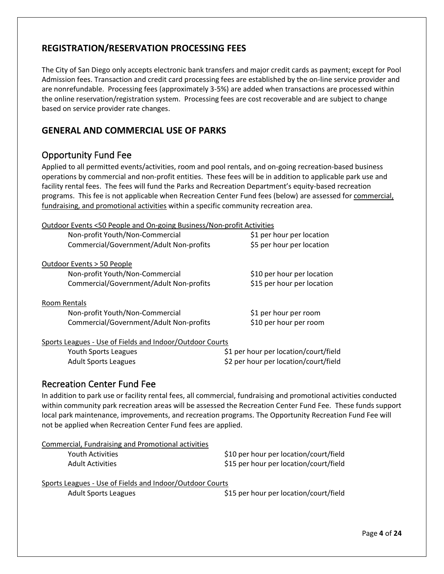## <span id="page-3-0"></span>**REGISTRATION/RESERVATION PROCESSING FEES**

The City of San Diego only accepts electronic bank transfers and major credit cards as payment; except for Pool Admission fees. Transaction and credit card processing fees are established by the on-line service provider and are nonrefundable. Processing fees (approximately 3-5%) are added when transactions are processed within the online reservation/registration system. Processing fees are cost recoverable and are subject to change based on service provider rate changes.

## <span id="page-3-1"></span>**GENERAL AND COMMERCIAL USE OF PARKS**

## <span id="page-3-2"></span>Opportunity Fund Fee

Applied to all permitted events/activities, room and pool rentals, and on-going recreation-based business operations by commercial and non-profit entities. These fees will be in addition to applicable park use and facility rental fees. The fees will fund the Parks and Recreation Department's equity-based recreation programs. This fee is not applicable when Recreation Center Fund fees (below) are assessed for commercial, fundraising, and promotional activities within a specific community recreation area.

| Outdoor Events <50 People and On-going Business/Non-profit Activities |                                       |
|-----------------------------------------------------------------------|---------------------------------------|
| Non-profit Youth/Non-Commercial                                       | \$1 per hour per location             |
| Commercial/Government/Adult Non-profits                               | \$5 per hour per location             |
| Outdoor Events > 50 People                                            |                                       |
| Non-profit Youth/Non-Commercial                                       | \$10 per hour per location            |
| Commercial/Government/Adult Non-profits                               | \$15 per hour per location            |
| Room Rentals                                                          |                                       |
| Non-profit Youth/Non-Commercial                                       | \$1 per hour per room                 |
| Commercial/Government/Adult Non-profits                               | \$10 per hour per room                |
| Sports Leagues - Use of Fields and Indoor/Outdoor Courts              |                                       |
| Youth Sports Leagues                                                  | \$1 per hour per location/court/field |
| <b>Adult Sports Leagues</b>                                           | \$2 per hour per location/court/field |

#### <span id="page-3-3"></span>Recreation Center Fund Fee

In addition to park use or facility rental fees, all commercial, fundraising and promotional activities conducted within community park recreation areas will be assessed the Recreation Center Fund Fee. These funds support local park maintenance, improvements, and recreation programs. The Opportunity Recreation Fund Fee will not be applied when Recreation Center Fund fees are applied.

| Commercial, Fundraising and Promotional activities |                                        |
|----------------------------------------------------|----------------------------------------|
| Youth Activities                                   | \$10 per hour per location/court/field |
| <b>Adult Activities</b>                            | \$15 per hour per location/court/field |

| Sports Leagues - Use of Fields and Indoor/Outdoor Courts |
|----------------------------------------------------------|
|----------------------------------------------------------|

Adult Sports Leagues **business and the State State State State State State State State State State State State S**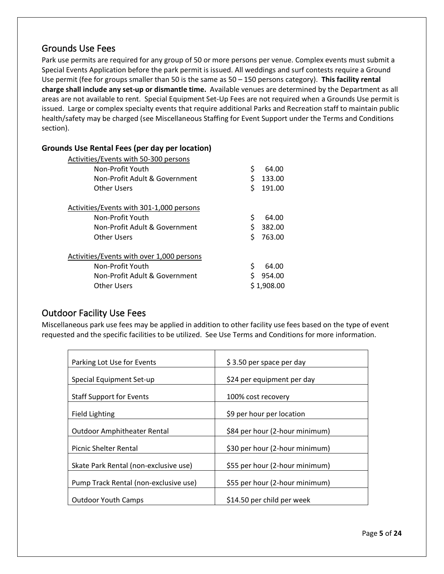## <span id="page-4-0"></span>Grounds Use Fees

Park use permits are required for any group of 50 or more persons per venue. Complex events must submit a Special Events Application before the park permit is issued. All weddings and surf contests require a Ground Use permit (fee for groups smaller than 50 is the same as 50 – 150 persons category). **This facility rental charge shall include any set-up or dismantle time.** Available venues are determined by the Department as all areas are not available to rent. Special Equipment Set-Up Fees are not required when a Grounds Use permit is issued. Large or complex specialty events that require additional Parks and Recreation staff to maintain public health/safety may be charged (see Miscellaneous Staffing for Event Support under the Terms and Conditions section).

| Activities/Events with 50-300 persons     |              |
|-------------------------------------------|--------------|
| Non-Profit Youth                          | \$<br>64.00  |
| Non-Profit Adult & Government             | \$<br>133.00 |
| Other Users                               | \$<br>191.00 |
| Activities/Events with 301-1,000 persons  |              |
| Non-Profit Youth                          | \$<br>64.00  |
| Non-Profit Adult & Government             | \$<br>382.00 |
| Other Users                               | \$<br>763.00 |
| Activities/Events with over 1,000 persons |              |
| Non-Profit Youth                          | \$<br>64.00  |
| Non-Profit Adult & Government             | Ś<br>954.00  |
| Other Users                               | \$1,908.00   |
|                                           |              |

#### **Grounds Use Rental Fees (per day per location)**

#### <span id="page-4-1"></span>Outdoor Facility Use Fees

Miscellaneous park use fees may be applied in addition to other facility use fees based on the type of event requested and the specific facilities to be utilized. See Use Terms and Conditions for more information.

| Parking Lot Use for Events            | \$3.50 per space per day       |
|---------------------------------------|--------------------------------|
| Special Equipment Set-up              | \$24 per equipment per day     |
| <b>Staff Support for Events</b>       | 100% cost recovery             |
| <b>Field Lighting</b>                 | \$9 per hour per location      |
| <b>Outdoor Amphitheater Rental</b>    | \$84 per hour (2-hour minimum) |
| <b>Picnic Shelter Rental</b>          | \$30 per hour (2-hour minimum) |
| Skate Park Rental (non-exclusive use) | \$55 per hour (2-hour minimum) |
| Pump Track Rental (non-exclusive use) | \$55 per hour (2-hour minimum) |
| <b>Outdoor Youth Camps</b>            | \$14.50 per child per week     |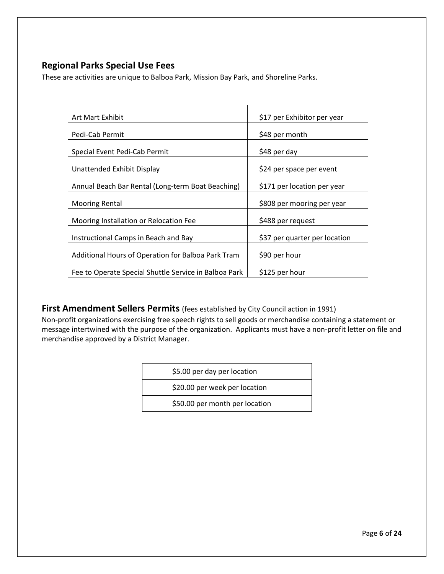## <span id="page-5-0"></span>**Regional Parks Special Use Fees**

These are activities are unique to Balboa Park, Mission Bay Park, and Shoreline Parks.

| Art Mart Exhibit                                      | \$17 per Exhibitor per year   |  |
|-------------------------------------------------------|-------------------------------|--|
| Pedi-Cab Permit                                       | \$48 per month                |  |
| Special Event Pedi-Cab Permit                         | \$48 per day                  |  |
| Unattended Exhibit Display                            | \$24 per space per event      |  |
| Annual Beach Bar Rental (Long-term Boat Beaching)     | \$171 per location per year   |  |
| <b>Mooring Rental</b>                                 | \$808 per mooring per year    |  |
| Mooring Installation or Relocation Fee                | \$488 per request             |  |
| Instructional Camps in Beach and Bay                  | \$37 per quarter per location |  |
| Additional Hours of Operation for Balboa Park Tram    | \$90 per hour                 |  |
| Fee to Operate Special Shuttle Service in Balboa Park | \$125 per hour                |  |

<span id="page-5-1"></span>**First Amendment Sellers Permits** (fees established by City Council action in 1991)

Non-profit organizations exercising free speech rights to sell goods or merchandise containing a statement or message intertwined with the purpose of the organization. Applicants must have a non-profit letter on file and merchandise approved by a District Manager.

| \$5.00 per day per location    |
|--------------------------------|
| \$20.00 per week per location  |
| \$50.00 per month per location |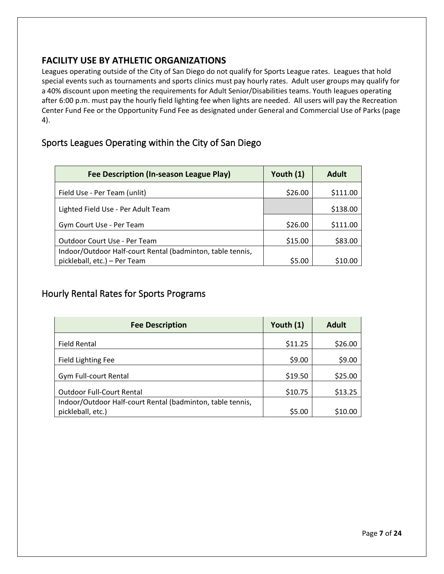## <span id="page-6-0"></span>**FACILITY USE BY ATHLETIC ORGANIZATIONS**

Leagues operating outside of the City of San Diego do not qualify for Sports League rates. Leagues that hold special events such as tournaments and sports clinics must pay hourly rates. Adult user groups may qualify for a 40% discount upon meeting the requirements for Adult Senior/Disabilities teams. Youth leagues operating after 6:00 p.m. must pay the hourly field lighting fee when lights are needed. All users will pay the Recreation Center Fund Fee or the Opportunity Fund Fee as designated under General and Commercial Use of Parks (page 4).

## <span id="page-6-1"></span>Sports Leagues Operating within the City of San Diego

| Fee Description (In-season League Play)                    | Youth $(1)$ | <b>Adult</b> |
|------------------------------------------------------------|-------------|--------------|
| Field Use - Per Team (unlit)                               | \$26.00     | \$111.00     |
| Lighted Field Use - Per Adult Team                         |             | \$138.00     |
| Gym Court Use - Per Team                                   | \$26.00     | \$111.00     |
| Outdoor Court Use - Per Team                               | \$15.00     | \$83.00      |
| Indoor/Outdoor Half-court Rental (badminton, table tennis, |             |              |
| pickleball, etc.) - Per Team                               | \$5.00      | \$10.00      |

## <span id="page-6-2"></span>Hourly Rental Rates for Sports Programs

| <b>Fee Description</b>                                     | Youth (1) | <b>Adult</b> |
|------------------------------------------------------------|-----------|--------------|
| <b>Field Rental</b>                                        | \$11.25   | \$26.00      |
| <b>Field Lighting Fee</b>                                  | \$9.00    | \$9.00       |
| <b>Gym Full-court Rental</b>                               | \$19.50   | \$25.00      |
| <b>Outdoor Full-Court Rental</b>                           | \$10.75   | \$13.25      |
| Indoor/Outdoor Half-court Rental (badminton, table tennis, |           |              |
| pickleball, etc.)                                          | \$5.00    | \$10.00      |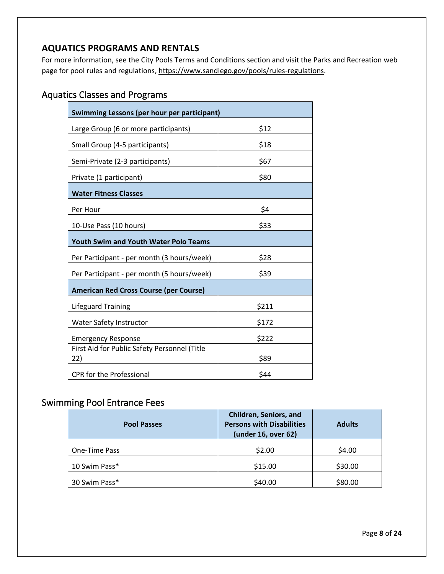## <span id="page-7-0"></span>**AQUATICS PROGRAMS AND RENTALS**

For more information, see the City Pools Terms and Conditions section and visit the Parks and Recreation web page for pool rules and regulations, [https://www.sandiego.gov/pools/rules-regulations.](https://www.sandiego.gov/pools/rules-regulations)

# <span id="page-7-1"></span>Aquatics Classes and Programs

| Swimming Lessons (per hour per participant)         |       |  |  |
|-----------------------------------------------------|-------|--|--|
| Large Group (6 or more participants)                | \$12  |  |  |
| Small Group (4-5 participants)                      | \$18  |  |  |
| Semi-Private (2-3 participants)                     | \$67  |  |  |
| Private (1 participant)                             | \$80  |  |  |
| <b>Water Fitness Classes</b>                        |       |  |  |
| Per Hour                                            | \$4   |  |  |
| 10-Use Pass (10 hours)                              | \$33  |  |  |
| <b>Youth Swim and Youth Water Polo Teams</b>        |       |  |  |
| Per Participant - per month (3 hours/week)          | \$28  |  |  |
| Per Participant - per month (5 hours/week)          | \$39  |  |  |
| <b>American Red Cross Course (per Course)</b>       |       |  |  |
| <b>Lifeguard Training</b>                           | \$211 |  |  |
| <b>Water Safety Instructor</b>                      | \$172 |  |  |
| <b>Emergency Response</b>                           | \$222 |  |  |
| First Aid for Public Safety Personnel (Title<br>22) | \$89  |  |  |
| <b>CPR</b> for the Professional                     | \$44  |  |  |

## <span id="page-7-2"></span>Swimming Pool Entrance Fees

| <b>Pool Passes</b> | <b>Children, Seniors, and</b><br><b>Persons with Disabilities</b><br>(under 16, over 62) | <b>Adults</b> |
|--------------------|------------------------------------------------------------------------------------------|---------------|
| One-Time Pass      | \$2.00                                                                                   | \$4.00        |
| 10 Swim Pass*      | \$15.00                                                                                  | \$30.00       |
| 30 Swim Pass*      | \$40.00                                                                                  | \$80.00       |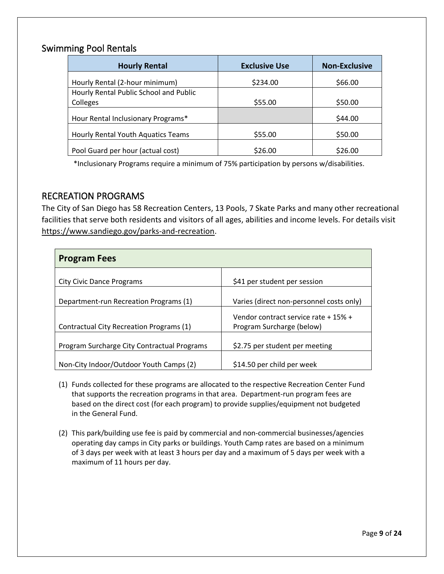## <span id="page-8-0"></span>Swimming Pool Rentals

| <b>Hourly Rental</b>                   | <b>Exclusive Use</b> | <b>Non-Exclusive</b> |
|----------------------------------------|----------------------|----------------------|
| Hourly Rental (2-hour minimum)         | \$234.00             | \$66.00              |
| Hourly Rental Public School and Public |                      |                      |
| Colleges                               | \$55.00              | \$50.00              |
| Hour Rental Inclusionary Programs*     |                      | \$44.00              |
| Hourly Rental Youth Aquatics Teams     | \$55.00              | \$50.00              |
| Pool Guard per hour (actual cost)      | \$26.00              | \$26.00              |

\*Inclusionary Programs require a minimum of 75% participation by persons w/disabilities.

## <span id="page-8-1"></span>RECREATION PROGRAMS

The City of San Diego has 58 Recreation Centers, 13 Pools, 7 Skate Parks and many other recreational facilities that serve both residents and visitors of all ages, abilities and income levels. For details visit [https://www.sandiego.gov/parks-and-recreation.](https://www.sandiego.gov/parks-and-recreation)

| <b>Program Fees</b>                         |                                                                   |
|---------------------------------------------|-------------------------------------------------------------------|
| City Civic Dance Programs                   | \$41 per student per session                                      |
| Department-run Recreation Programs (1)      | Varies (direct non-personnel costs only)                          |
| Contractual City Recreation Programs (1)    | Vendor contract service rate + 15% +<br>Program Surcharge (below) |
| Program Surcharge City Contractual Programs | \$2.75 per student per meeting                                    |
| Non-City Indoor/Outdoor Youth Camps (2)     | \$14.50 per child per week                                        |

- (1) Funds collected for these programs are allocated to the respective Recreation Center Fund that supports the recreation programs in that area. Department-run program fees are based on the direct cost (for each program) to provide supplies/equipment not budgeted in the General Fund.
- (2) This park/building use fee is paid by commercial and non-commercial businesses/agencies operating day camps in City parks or buildings. Youth Camp rates are based on a minimum of 3 days per week with at least 3 hours per day and a maximum of 5 days per week with a maximum of 11 hours per day.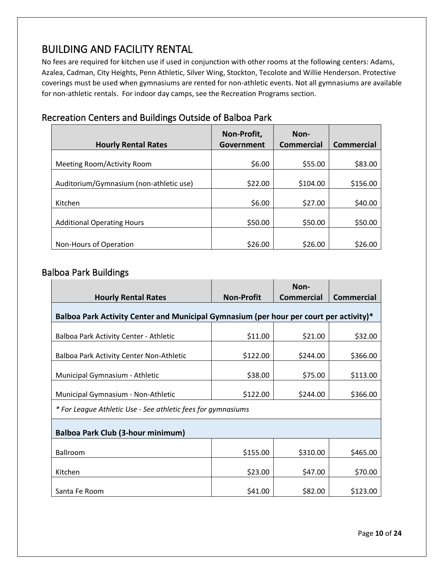# <span id="page-9-0"></span>BUILDING AND FACILITY RENTAL

No fees are required for kitchen use if used in conjunction with other rooms at the following centers: Adams, Azalea, Cadman, City Heights, Penn Athletic, Silver Wing, Stockton, Tecolote and Willie Henderson. Protective coverings must be used when gymnasiums are rented for non-athletic events. Not all gymnasiums are available for non-athletic rentals. For indoor day camps, see the Recreation Programs section.

|                                         | Non-Profit, | Non-              |                   |
|-----------------------------------------|-------------|-------------------|-------------------|
| <b>Hourly Rental Rates</b>              | Government  | <b>Commercial</b> | <b>Commercial</b> |
|                                         |             |                   |                   |
| Meeting Room/Activity Room              | \$6.00      | \$55.00           | \$83.00           |
|                                         |             |                   |                   |
| Auditorium/Gymnasium (non-athletic use) | \$22.00     | \$104.00          | \$156.00          |
|                                         |             |                   |                   |
| Kitchen                                 | \$6.00      | \$27.00           | \$40.00           |
|                                         |             |                   |                   |
| <b>Additional Operating Hours</b>       | \$50.00     | \$50.00           | \$50.00           |
|                                         |             |                   |                   |
| Non-Hours of Operation                  | \$26.00     | \$26.00           | \$26.00           |

# <span id="page-9-1"></span>Recreation Centers and Buildings Outside of Balboa Park

## <span id="page-9-2"></span>Balboa Park Buildings

|                                                                                        |                   | Non-              |                   |  |  |  |  |  |  |  |
|----------------------------------------------------------------------------------------|-------------------|-------------------|-------------------|--|--|--|--|--|--|--|
| <b>Hourly Rental Rates</b>                                                             | <b>Non-Profit</b> | <b>Commercial</b> | <b>Commercial</b> |  |  |  |  |  |  |  |
| Balboa Park Activity Center and Municipal Gymnasium (per hour per court per activity)* |                   |                   |                   |  |  |  |  |  |  |  |
| \$11.00<br>\$21.00<br>Balboa Park Activity Center - Athletic                           |                   |                   |                   |  |  |  |  |  |  |  |
| Balboa Park Activity Center Non-Athletic                                               | \$122.00          | \$244.00          | \$366.00          |  |  |  |  |  |  |  |
| Municipal Gymnasium - Athletic                                                         | \$38.00           | \$75.00           | \$113.00          |  |  |  |  |  |  |  |
| Municipal Gymnasium - Non-Athletic                                                     | \$122.00          | \$244.00          | \$366.00          |  |  |  |  |  |  |  |
| * For League Athletic Use - See athletic fees for gymnasiums                           |                   |                   |                   |  |  |  |  |  |  |  |
| <b>Balboa Park Club (3-hour minimum)</b>                                               |                   |                   |                   |  |  |  |  |  |  |  |
| Ballroom                                                                               | \$155.00          | \$310.00          | \$465.00          |  |  |  |  |  |  |  |
| Kitchen                                                                                | \$23.00           | \$47.00           | \$70.00           |  |  |  |  |  |  |  |
| Santa Fe Room                                                                          | \$41.00           | \$82.00           | \$123.00          |  |  |  |  |  |  |  |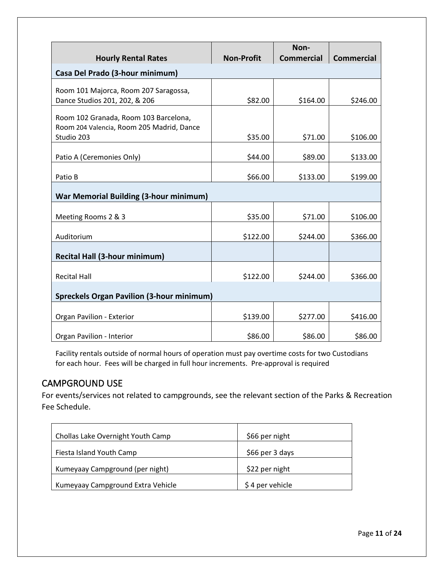|                                                  |                   | Non-              |                   |  |
|--------------------------------------------------|-------------------|-------------------|-------------------|--|
| <b>Hourly Rental Rates</b>                       | <b>Non-Profit</b> | <b>Commercial</b> | <b>Commercial</b> |  |
| Casa Del Prado (3-hour minimum)                  |                   |                   |                   |  |
| Room 101 Majorca, Room 207 Saragossa,            |                   |                   |                   |  |
| Dance Studios 201, 202, & 206                    | \$82.00           | \$164.00          | \$246.00          |  |
| Room 102 Granada, Room 103 Barcelona,            |                   |                   |                   |  |
| Room 204 Valencia, Room 205 Madrid, Dance        |                   |                   |                   |  |
| Studio 203                                       | \$35.00           | \$71.00           | \$106.00          |  |
| Patio A (Ceremonies Only)                        | \$44.00           | \$89.00           | \$133.00          |  |
| Patio B                                          | \$66.00           | \$133.00          | \$199.00          |  |
| <b>War Memorial Building (3-hour minimum)</b>    |                   |                   |                   |  |
| Meeting Rooms 2 & 3                              | \$35.00           | \$71.00           | \$106.00          |  |
| Auditorium                                       | \$122.00          | \$244.00          | \$366.00          |  |
| <b>Recital Hall (3-hour minimum)</b>             |                   |                   |                   |  |
|                                                  |                   |                   |                   |  |
| <b>Recital Hall</b>                              | \$122.00          | \$244.00          | \$366.00          |  |
| <b>Spreckels Organ Pavilion (3-hour minimum)</b> |                   |                   |                   |  |
| Organ Pavilion - Exterior                        | \$139.00          | \$277.00          | \$416.00          |  |
| Organ Pavilion - Interior                        | \$86.00           | \$86.00           | \$86.00           |  |

Facility rentals outside of normal hours of operation must pay overtime costs for two Custodians for each hour. Fees will be charged in full hour increments. Pre-approval is required

## <span id="page-10-0"></span>CAMPGROUND USE

For events/services not related to campgrounds, see the relevant section of the Parks & Recreation Fee Schedule.

| Chollas Lake Overnight Youth Camp | \$66 per night  |
|-----------------------------------|-----------------|
| Fiesta Island Youth Camp          | \$66 per 3 days |
| Kumeyaay Campground (per night)   | \$22 per night  |
| Kumeyaay Campground Extra Vehicle | \$4 per vehicle |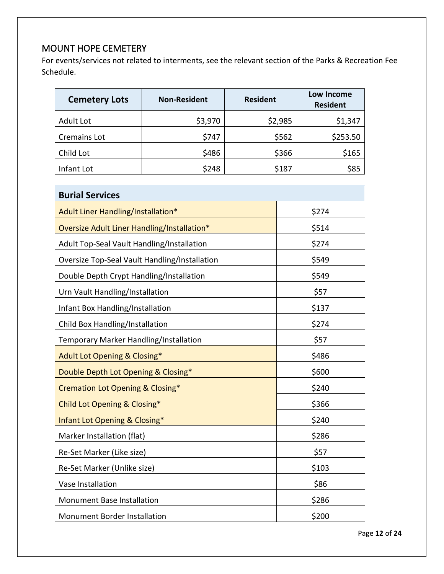# <span id="page-11-0"></span>MOUNT HOPE CEMETERY

For events/services not related to interments, see the relevant section of the Parks & Recreation Fee Schedule.

| <b>Cemetery Lots</b> | <b>Non-Resident</b> | <b>Resident</b> | Low Income<br><b>Resident</b> |
|----------------------|---------------------|-----------------|-------------------------------|
| <b>Adult Lot</b>     | \$3,970             | \$2,985         | \$1,347                       |
| Cremains Lot         | \$747               | \$562           | \$253.50                      |
| Child Lot            | \$486               | \$366           | \$165                         |
| Infant Lot           | \$248               | \$187           | \$85                          |

| <b>Burial Services</b>                        |       |
|-----------------------------------------------|-------|
| Adult Liner Handling/Installation*            | \$274 |
| Oversize Adult Liner Handling/Installation*   | \$514 |
| Adult Top-Seal Vault Handling/Installation    | \$274 |
| Oversize Top-Seal Vault Handling/Installation | \$549 |
| Double Depth Crypt Handling/Installation      | \$549 |
| Urn Vault Handling/Installation               | \$57  |
| Infant Box Handling/Installation              | \$137 |
| Child Box Handling/Installation               | \$274 |
| Temporary Marker Handling/Installation        | \$57  |
| Adult Lot Opening & Closing*                  | \$486 |
| Double Depth Lot Opening & Closing*           | \$600 |
| Cremation Lot Opening & Closing*              | \$240 |
| Child Lot Opening & Closing*                  | \$366 |
| Infant Lot Opening & Closing*                 | \$240 |
| Marker Installation (flat)                    | \$286 |
| Re-Set Marker (Like size)                     | \$57  |
| Re-Set Marker (Unlike size)                   | \$103 |
| Vase Installation                             | \$86  |
| Monument Base Installation                    | \$286 |
| <b>Monument Border Installation</b>           | \$200 |

Page **12** of **24**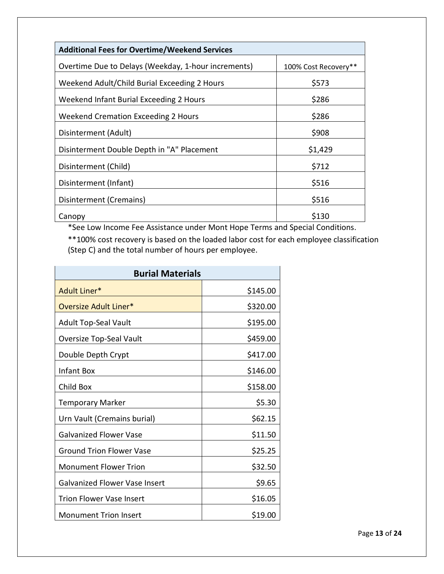| <b>Additional Fees for Overtime/Weekend Services</b> |                      |
|------------------------------------------------------|----------------------|
| Overtime Due to Delays (Weekday, 1-hour increments)  | 100% Cost Recovery** |
| Weekend Adult/Child Burial Exceeding 2 Hours         | \$573                |
| Weekend Infant Burial Exceeding 2 Hours              | \$286                |
| Weekend Cremation Exceeding 2 Hours                  | \$286                |
| Disinterment (Adult)                                 | \$908                |
| Disinterment Double Depth in "A" Placement           | \$1,429              |
| Disinterment (Child)                                 | \$712                |
| Disinterment (Infant)                                | \$516                |
| Disinterment (Cremains)                              | \$516                |
| Canopy                                               | \$130                |

\*See Low Income Fee Assistance under Mont Hope Terms and Special Conditions.

\*\*100% cost recovery is based on the loaded labor cost for each employee classification (Step C) and the total number of hours per employee.

| <b>Burial Materials</b>              |          |
|--------------------------------------|----------|
| Adult Liner*                         | \$145.00 |
| Oversize Adult Liner*                | \$320.00 |
| <b>Adult Top-Seal Vault</b>          | \$195.00 |
| Oversize Top-Seal Vault              | \$459.00 |
| Double Depth Crypt                   | \$417.00 |
| Infant Box                           | \$146.00 |
| Child Box                            | \$158.00 |
| <b>Temporary Marker</b>              | \$5.30   |
| Urn Vault (Cremains burial)          | \$62.15  |
| <b>Galvanized Flower Vase</b>        | \$11.50  |
| <b>Ground Trion Flower Vase</b>      | \$25.25  |
| <b>Monument Flower Trion</b>         | \$32.50  |
| <b>Galvanized Flower Vase Insert</b> | \$9.65   |
| <b>Trion Flower Vase Insert</b>      | \$16.05  |
| <b>Monument Trion Insert</b>         | \$19.00  |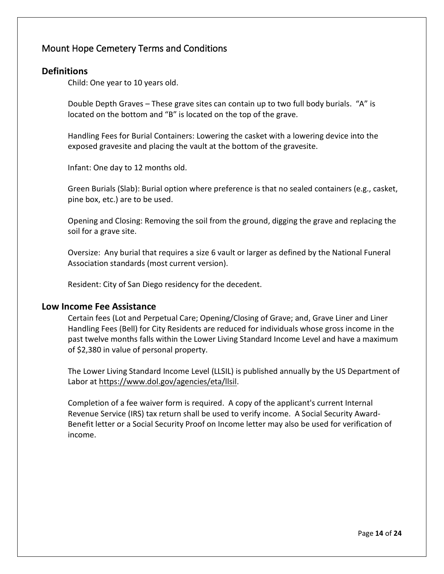## <span id="page-13-0"></span>Mount Hope Cemetery Terms and Conditions

#### **Definitions**

Child: One year to 10 years old.

Double Depth Graves – These grave sites can contain up to two full body burials. "A" is located on the bottom and "B" is located on the top of the grave.

Handling Fees for Burial Containers: Lowering the casket with a lowering device into the exposed gravesite and placing the vault at the bottom of the gravesite.

Infant: One day to 12 months old.

Green Burials (Slab): Burial option where preference is that no sealed containers (e.g., casket, pine box, etc.) are to be used.

Opening and Closing: Removing the soil from the ground, digging the grave and replacing the soil for a grave site.

Oversize: Any burial that requires a size 6 vault or larger as defined by the National Funeral Association standards (most current version).

Resident: City of San Diego residency for the decedent.

#### **Low Income Fee Assistance**

Certain fees (Lot and Perpetual Care; Opening/Closing of Grave; and, Grave Liner and Liner Handling Fees (Bell) for City Residents are reduced for individuals whose gross income in the past twelve months falls within the Lower Living Standard Income Level and have a maximum of \$2,380 in value of personal property.

The Lower Living Standard Income Level (LLSIL) is published annually by the US Department of Labor at [https://www.dol.gov/agencies/eta/llsil.](https://www.dol.gov/agencies/eta/llsil)

Completion of a fee waiver form is required. A copy of the applicant's current Internal Revenue Service (IRS) tax return shall be used to verify income. A Social Security Award-Benefit letter or a Social Security Proof on Income letter may also be used for verification of income.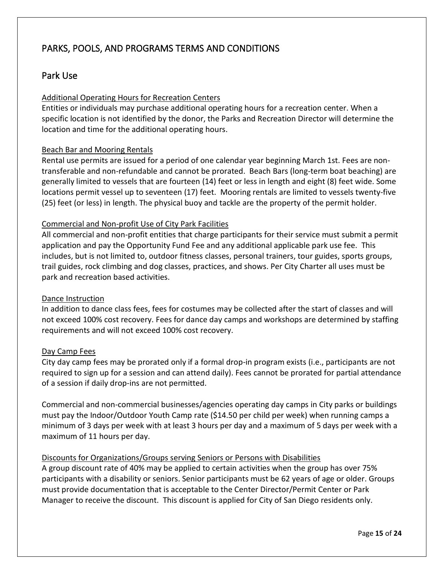# <span id="page-14-0"></span>PARKS, POOLS, AND PROGRAMS TERMS AND CONDITIONS

## <span id="page-14-1"></span>Park Use

#### Additional Operating Hours for Recreation Centers

Entities or individuals may purchase additional operating hours for a recreation center. When a specific location is not identified by the donor, the Parks and Recreation Director will determine the location and time for the additional operating hours.

#### Beach Bar and Mooring Rentals

Rental use permits are issued for a period of one calendar year beginning March 1st. Fees are nontransferable and non-refundable and cannot be prorated. Beach Bars (long-term boat beaching) are generally limited to vessels that are fourteen (14) feet or less in length and eight (8) feet wide. Some locations permit vessel up to seventeen (17) feet. Mooring rentals are limited to vessels twenty-five (25) feet (or less) in length. The physical buoy and tackle are the property of the permit holder.

#### Commercial and Non-profit Use of City Park Facilities

All commercial and non-profit entities that charge participants for their service must submit a permit application and pay the Opportunity Fund Fee and any additional applicable park use fee. This includes, but is not limited to, outdoor fitness classes, personal trainers, tour guides, sports groups, trail guides, rock climbing and dog classes, practices, and shows. Per City Charter all uses must be park and recreation based activities.

#### Dance Instruction

In addition to dance class fees, fees for costumes may be collected after the start of classes and will not exceed 100% cost recovery. Fees for dance day camps and workshops are determined by staffing requirements and will not exceed 100% cost recovery.

#### Day Camp Fees

City day camp fees may be prorated only if a formal drop-in program exists (i.e., participants are not required to sign up for a session and can attend daily). Fees cannot be prorated for partial attendance of a session if daily drop-ins are not permitted.

Commercial and non-commercial businesses/agencies operating day camps in City parks or buildings must pay the Indoor/Outdoor Youth Camp rate (\$14.50 per child per week) when running camps a minimum of 3 days per week with at least 3 hours per day and a maximum of 5 days per week with a maximum of 11 hours per day.

#### Discounts for Organizations/Groups serving Seniors or Persons with Disabilities

A group discount rate of 40% may be applied to certain activities when the group has over 75% participants with a disability or seniors. Senior participants must be 62 years of age or older. Groups must provide documentation that is acceptable to the Center Director/Permit Center or Park Manager to receive the discount. This discount is applied for City of San Diego residents only.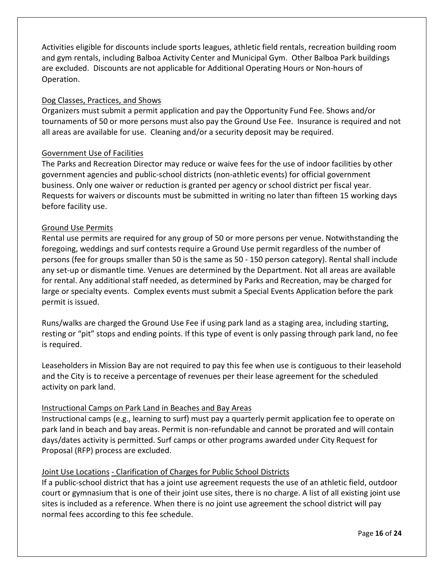Activities eligible for discounts include sports leagues, athletic field rentals, recreation building room and gym rentals, including Balboa Activity Center and Municipal Gym. Other Balboa Park buildings are excluded. Discounts are not applicable for Additional Operating Hours or Non-hours of Operation.

#### Dog Classes, Practices, and Shows

Organizers must submit a permit application and pay the Opportunity Fund Fee. Shows and/or tournaments of 50 or more persons must also pay the Ground Use Fee. Insurance is required and not all areas are available for use. Cleaning and/or a security deposit may be required.

#### Government Use of Facilities

The Parks and Recreation Director may reduce or waive fees for the use of indoor facilities by other government agencies and public-school districts (non-athletic events) for official government business. Only one waiver or reduction is granted per agency or school district per fiscal year. Requests for waivers or discounts must be submitted in writing no later than fifteen 15 working days before facility use.

#### Ground Use Permits

Rental use permits are required for any group of 50 or more persons per venue. Notwithstanding the foregoing, weddings and surf contests require a Ground Use permit regardless of the number of persons (fee for groups smaller than 50 is the same as 50 - 150 person category). Rental shall include any set-up or dismantle time. Venues are determined by the Department. Not all areas are available for rental. Any additional staff needed, as determined by Parks and Recreation, may be charged for large or specialty events. Complex events must submit a Special Events Application before the park permit is issued.

Runs/walks are charged the Ground Use Fee if using park land as a staging area, including starting, resting or "pit" stops and ending points. If this type of event is only passing through park land, no fee is required.

Leaseholders in Mission Bay are not required to pay this fee when use is contiguous to their leasehold and the City is to receive a percentage of revenues per their lease agreement for the scheduled activity on park land.

#### Instructional Camps on Park Land in Beaches and Bay Areas

Instructional camps (e.g., learning to surf) must pay a quarterly permit application fee to operate on park land in beach and bay areas. Permit is non-refundable and cannot be prorated and will contain days/dates activity is permitted. Surf camps or other programs awarded under City Request for Proposal (RFP) process are excluded.

#### Joint Use Locations - Clarification of Charges for Public School Districts

If a public-school district that has a joint use agreement requests the use of an athletic field, outdoor court or gymnasium that is one of their joint use sites, there is no charge. A list of all existing joint use sites is included as a reference. When there is no joint use agreement the school district will pay normal fees according to this fee schedule.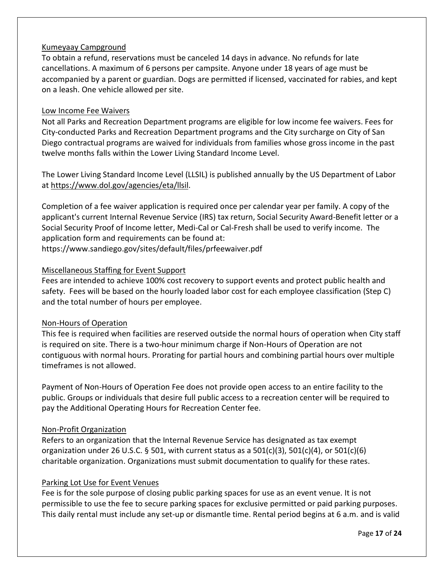#### Kumeyaay Campground

To obtain a refund, reservations must be canceled 14 days in advance. No refunds for late cancellations. A maximum of 6 persons per campsite. Anyone under 18 years of age must be accompanied by a parent or guardian. Dogs are permitted if licensed, vaccinated for rabies, and kept on a leash. One vehicle allowed per site.

#### Low Income Fee Waivers

Not all Parks and Recreation Department programs are eligible for low income fee waivers. Fees for City-conducted Parks and Recreation Department programs and the City surcharge on City of San Diego contractual programs are waived for individuals from families whose gross income in the past twelve months falls within the Lower Living Standard Income Level.

The Lower Living Standard Income Level (LLSIL) is published annually by the US Department of Labor at [https://www.dol.gov/agencies/eta/llsil.](https://www.dol.gov/agencies/eta/llsil)

Completion of a fee waiver application is required once per calendar year per family. A copy of the applicant's current Internal Revenue Service (IRS) tax return, Social Security Award-Benefit letter or a Social Security Proof of Income letter, Medi-Cal or Cal-Fresh shall be used to verify income. The application form and requirements can be found at:

https://www.sandiego.gov/sites/default/files/prfeewaiver.pdf

#### Miscellaneous Staffing for Event Support

Fees are intended to achieve 100% cost recovery to support events and protect public health and safety. Fees will be based on the hourly loaded labor cost for each employee classification (Step C) and the total number of hours per employee.

#### Non-Hours of Operation

This fee is required when facilities are reserved outside the normal hours of operation when City staff is required on site. There is a two-hour minimum charge if Non-Hours of Operation are not contiguous with normal hours. Prorating for partial hours and combining partial hours over multiple timeframes is not allowed.

Payment of Non-Hours of Operation Fee does not provide open access to an entire facility to the public. Groups or individuals that desire full public access to a recreation center will be required to pay the Additional Operating Hours for Recreation Center fee.

#### Non-Profit Organization

Refers to an organization that the Internal Revenue Service has designated as tax exempt organization under 26 U.S.C. § 501, with current status as a  $501(c)(3)$ ,  $501(c)(4)$ , or  $501(c)(6)$ charitable organization. Organizations must submit documentation to qualify for these rates.

#### Parking Lot Use for Event Venues

Fee is for the sole purpose of closing public parking spaces for use as an event venue. It is not permissible to use the fee to secure parking spaces for exclusive permitted or paid parking purposes. This daily rental must include any set-up or dismantle time. Rental period begins at 6 a.m. and is valid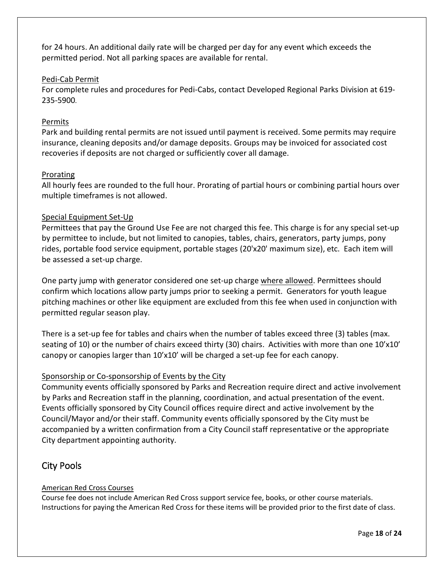for 24 hours. An additional daily rate will be charged per day for any event which exceeds the permitted period. Not all parking spaces are available for rental.

#### Pedi-Cab Permit

For complete rules and procedures for Pedi-Cabs, contact Developed Regional Parks Division at 619- 235-5900.

#### Permits

Park and building rental permits are not issued until payment is received. Some permits may require insurance, cleaning deposits and/or damage deposits. Groups may be invoiced for associated cost recoveries if deposits are not charged or sufficiently cover all damage.

#### **Prorating**

All hourly fees are rounded to the full hour. Prorating of partial hours or combining partial hours over multiple timeframes is not allowed.

#### Special Equipment Set-Up

Permittees that pay the Ground Use Fee are not charged this fee. This charge is for any special set-up by permittee to include, but not limited to canopies, tables, chairs, generators, party jumps, pony rides, portable food service equipment, portable stages (20'x20' maximum size), etc. Each item will be assessed a set-up charge.

One party jump with generator considered one set-up charge where allowed. Permittees should confirm which locations allow party jumps prior to seeking a permit. Generators for youth league pitching machines or other like equipment are excluded from this fee when used in conjunction with permitted regular season play.

There is a set-up fee for tables and chairs when the number of tables exceed three (3) tables (max. seating of 10) or the number of chairs exceed thirty (30) chairs. Activities with more than one 10'x10' canopy or canopies larger than 10'x10' will be charged a set-up fee for each canopy.

#### Sponsorship or Co-sponsorship of Events by the City

Community events officially sponsored by Parks and Recreation require direct and active involvement by Parks and Recreation staff in the planning, coordination, and actual presentation of the event. Events officially sponsored by City Council offices require direct and active involvement by the Council/Mayor and/or their staff. Community events officially sponsored by the City must be accompanied by a written confirmation from a City Council staff representative or the appropriate City department appointing authority.

## <span id="page-17-0"></span>City Pools

#### American Red Cross Courses

Course fee does not include American Red Cross support service fee, books, or other course materials. Instructions for paying the American Red Cross for these items will be provided prior to the first date of class.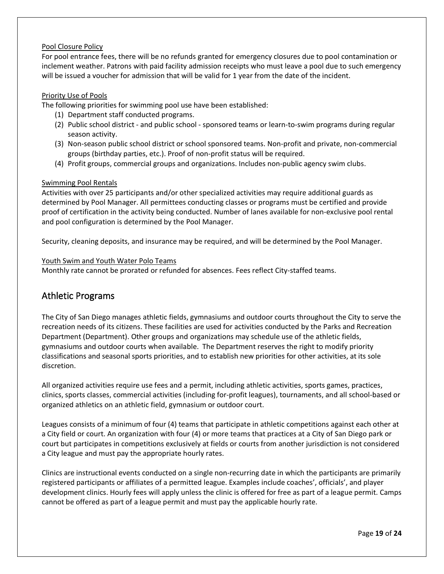#### Pool Closure Policy

For pool entrance fees, there will be no refunds granted for emergency closures due to pool contamination or inclement weather. Patrons with paid facility admission receipts who must leave a pool due to such emergency will be issued a voucher for admission that will be valid for 1 year from the date of the incident.

#### Priority Use of Pools

The following priorities for swimming pool use have been established:

- (1) Department staff conducted programs.
- (2) Public school district and public school sponsored teams or learn-to-swim programs during regular season activity.
- (3) Non-season public school district or school sponsored teams. Non-profit and private, non-commercial groups (birthday parties, etc.). Proof of non-profit status will be required.
- (4) Profit groups, commercial groups and organizations. Includes non-public agency swim clubs.

#### Swimming Pool Rentals

Activities with over 25 participants and/or other specialized activities may require additional guards as determined by Pool Manager. All permittees conducting classes or programs must be certified and provide proof of certification in the activity being conducted. Number of lanes available for non-exclusive pool rental and pool configuration is determined by the Pool Manager.

Security, cleaning deposits, and insurance may be required, and will be determined by the Pool Manager.

#### Youth Swim and Youth Water Polo Teams

Monthly rate cannot be prorated or refunded for absences. Fees reflect City-staffed teams.

#### <span id="page-18-0"></span>Athletic Programs

The City of San Diego manages athletic fields, gymnasiums and outdoor courts throughout the City to serve the recreation needs of its citizens. These facilities are used for activities conducted by the Parks and Recreation Department (Department). Other groups and organizations may schedule use of the athletic fields, gymnasiums and outdoor courts when available. The Department reserves the right to modify priority classifications and seasonal sports priorities, and to establish new priorities for other activities, at its sole discretion.

All organized activities require use fees and a permit, including athletic activities, sports games, practices, clinics, sports classes, commercial activities (including for-profit leagues), tournaments, and all school-based or organized athletics on an athletic field, gymnasium or outdoor court.

Leagues consists of a minimum of four (4) teams that participate in athletic competitions against each other at a City field or court. An organization with four (4) or more teams that practices at a City of San Diego park or court but participates in competitions exclusively at fields or courts from another jurisdiction is not considered a City league and must pay the appropriate hourly rates.

Clinics are instructional events conducted on a single non-recurring date in which the participants are primarily registered participants or affiliates of a permitted league. Examples include coaches', officials', and player development clinics. Hourly fees will apply unless the clinic is offered for free as part of a league permit. Camps cannot be offered as part of a league permit and must pay the applicable hourly rate.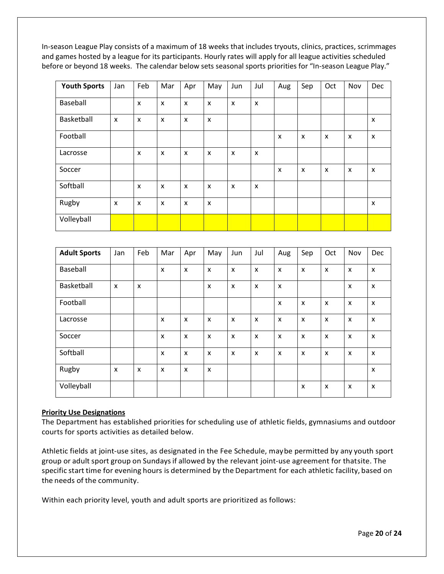In-season League Play consists of a maximum of 18 weeks that includes tryouts, clinics, practices, scrimmages and games hosted by a league for its participants. Hourly rates will apply for all league activities scheduled before or beyond 18 weeks. The calendar below sets seasonal sports priorities for "In-season League Play."

| <b>Youth Sports</b> | Jan          | Feb                       | Mar                       | Apr                       | May | Jun                       | Jul                       | Aug | Sep                       | Oct | Nov | Dec                       |
|---------------------|--------------|---------------------------|---------------------------|---------------------------|-----|---------------------------|---------------------------|-----|---------------------------|-----|-----|---------------------------|
| Baseball            |              | X                         | X                         | X                         | X   | X                         | $\boldsymbol{\mathsf{x}}$ |     |                           |     |     |                           |
| Basketball          | $\mathsf{x}$ | $\boldsymbol{\mathsf{x}}$ | $\boldsymbol{\mathsf{x}}$ | $\boldsymbol{\mathsf{x}}$ | X   |                           |                           |     |                           |     |     | $\boldsymbol{\mathsf{x}}$ |
| Football            |              |                           |                           |                           |     |                           |                           | X   | $\boldsymbol{\mathsf{x}}$ | X   | X   | $\boldsymbol{\mathsf{x}}$ |
| Lacrosse            |              | $\boldsymbol{\mathsf{x}}$ | X                         | X                         | X   | $\boldsymbol{\mathsf{x}}$ | $\boldsymbol{\mathsf{x}}$ |     |                           |     |     |                           |
| Soccer              |              |                           |                           |                           |     |                           |                           | X   | X                         | X   | X   | $\boldsymbol{\mathsf{x}}$ |
| Softball            |              | X                         | X                         | $\boldsymbol{\mathsf{x}}$ | X   | $\boldsymbol{\mathsf{x}}$ | $\boldsymbol{\mathsf{x}}$ |     |                           |     |     |                           |
| Rugby               | $\mathsf{x}$ | $\boldsymbol{\mathsf{x}}$ | X                         | X                         | X   |                           |                           |     |                           |     |     | $\boldsymbol{\mathsf{x}}$ |
| Volleyball          |              |                           |                           |                           |     |                           |                           |     |                           |     |     |                           |

| <b>Adult Sports</b> | Jan                       | Feb                       | Mar                       | Apr                       | May | Jun                       | Jul                       | Aug                       | Sep                       | Oct | Nov                       | Dec                       |
|---------------------|---------------------------|---------------------------|---------------------------|---------------------------|-----|---------------------------|---------------------------|---------------------------|---------------------------|-----|---------------------------|---------------------------|
| Baseball            |                           |                           | $\boldsymbol{\mathsf{x}}$ | $\mathsf{x}$              | X   | $\mathsf{x}$              | $\boldsymbol{\mathsf{x}}$ | $\boldsymbol{\mathsf{x}}$ | $\boldsymbol{\mathsf{x}}$ | X   | $\mathsf{x}$              | $\boldsymbol{\mathsf{x}}$ |
| Basketball          | $\mathsf{x}$              | $\boldsymbol{\mathsf{x}}$ |                           |                           | X   | $\boldsymbol{\mathsf{x}}$ | $\boldsymbol{\mathsf{x}}$ | $\mathsf{x}$              |                           |     | X                         | $\boldsymbol{\mathsf{x}}$ |
| Football            |                           |                           |                           |                           |     |                           |                           | $\boldsymbol{\mathsf{x}}$ | X                         | X   | X                         | $\boldsymbol{\mathsf{x}}$ |
| Lacrosse            |                           |                           | X                         | X                         | X   | $\boldsymbol{\mathsf{x}}$ | X                         | $\boldsymbol{\mathsf{x}}$ | X                         | X   | $\boldsymbol{\mathsf{x}}$ | X                         |
| Soccer              |                           |                           | X                         | $\boldsymbol{\mathsf{x}}$ | X   | $\boldsymbol{\mathsf{x}}$ | $\boldsymbol{\mathsf{x}}$ | $\boldsymbol{\mathsf{x}}$ | $\boldsymbol{\mathsf{x}}$ | X   | $\mathsf{x}$              | $\boldsymbol{\mathsf{x}}$ |
| Softball            |                           |                           | X                         | X                         | X   | X                         | $\boldsymbol{\mathsf{x}}$ | $\boldsymbol{\mathsf{x}}$ | $\boldsymbol{\mathsf{x}}$ | X   | X                         | $\boldsymbol{\mathsf{x}}$ |
| Rugby               | $\boldsymbol{\mathsf{x}}$ | $\boldsymbol{\mathsf{x}}$ | X                         | X                         | X   |                           |                           |                           |                           |     |                           | $\boldsymbol{\mathsf{x}}$ |
| Volleyball          |                           |                           |                           |                           |     |                           |                           |                           | $\boldsymbol{\mathsf{x}}$ | X   | X                         | $\boldsymbol{\mathsf{x}}$ |

#### **Priority Use Designations**

The Department has established priorities for scheduling use of athletic fields, gymnasiums and outdoor courts for sports activities as detailed below.

Athletic fields at joint-use sites, as designated in the Fee Schedule, maybe permitted by any youth sport group or adult sport group on Sundaysif allowed by the relevant joint-use agreement for thatsite. The specific start time for evening hours is determined by the Department for each athletic facility, based on the needs of the community.

Within each priority level, youth and adult sports are prioritized as follows: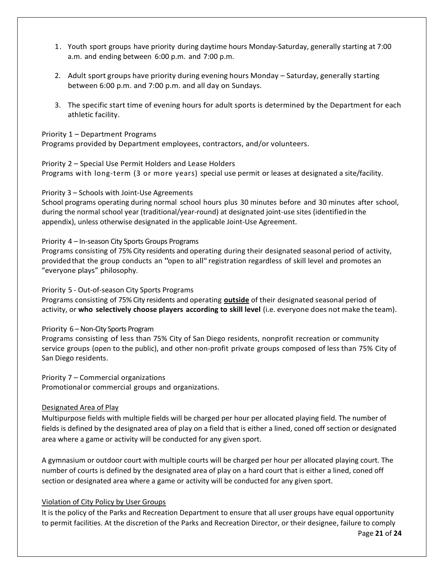- 1. Youth sport groups have priority during daytime hours Monday-Saturday, generally starting at 7:00 a.m. and ending between 6:00 p.m. and 7:00 p.m.
- 2. Adult sport groups have priority during evening hours Monday Saturday, generally starting between 6:00 p.m. and 7:00 p.m. and all day on Sundays.
- 3. The specific start time of evening hours for adult sports is determined by the Department for each athletic facility.

#### Priority 1 – Department Programs

Programs provided by Department employees, contractors, and/or volunteers.

#### Priority 2 – Special Use Permit Holders and Lease Holders

Programs with long-term (3 or more years) special use permit or leases at designated a site/facility.

#### Priority 3 – Schools with Joint-Use Agreements

School programs operating during normal school hours plus 30 minutes before and 30 minutes after school, during the normal school year (traditional/year-round) at designated joint-use sites (identifiedin the appendix), unless otherwise designated in the applicable Joint-Use Agreement.

#### Priority 4 – In-season City Sports Groups Programs

Programs consisting of 75% City residents and operating during their designated seasonal period of activity, providedthat the group conducts an "open to all" registration regardless of skill level and promotes an "everyone plays" philosophy.

#### Priority 5 - Out-of-season City Sports Programs

Programs consisting of 75% City residents and operating **outside** of their designated seasonal period of activity, or **who selectively choose players according to skill level** (i.e. everyone does not make the team).

#### Priority 6 – Non-City Sports Program

Programs consisting of less than 75% City of San Diego residents, nonprofit recreation or community service groups (open to the public), and other non-profit private groups composed of less than 75% City of San Diego residents.

Priority 7 – Commercial organizations Promotionalor commercial groups and organizations.

#### Designated Area of Play

Multipurpose fields with multiple fields will be charged per hour per allocated playing field. The number of fields is defined by the designated area of play on a field that is either a lined, coned off section or designated area where a game or activity will be conducted for any given sport.

A gymnasium or outdoor court with multiple courts will be charged per hour per allocated playing court. The number of courts is defined by the designated area of play on a hard court that is either a lined, coned off section or designated area where a game or activity will be conducted for any given sport.

#### Violation of City Policy by User Groups

It is the policy of the Parks and Recreation Department to ensure that all user groups have equal opportunity to permit facilities. At the discretion of the Parks and Recreation Director, or their designee, failure to comply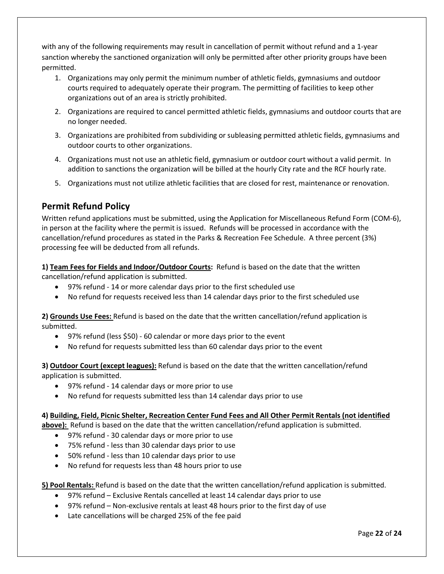with any of the following requirements may result in cancellation of permit without refund and a 1-year sanction whereby the sanctioned organization will only be permitted after other priority groups have been permitted.

- 1. Organizations may only permit the minimum number of athletic fields, gymnasiums and outdoor courts required to adequately operate their program. The permitting of facilities to keep other organizations out of an area is strictly prohibited.
- 2. Organizations are required to cancel permitted athletic fields, gymnasiums and outdoor courts that are no longer needed.
- 3. Organizations are prohibited from subdividing or subleasing permitted athletic fields, gymnasiums and outdoor courts to other organizations.
- 4. Organizations must not use an athletic field, gymnasium or outdoor court without a valid permit. In addition to sanctions the organization will be billed at the hourly City rate and the RCF hourly rate.
- 5. Organizations must not utilize athletic facilities that are closed for rest, maintenance or renovation.

## <span id="page-21-0"></span>**Permit Refund Policy**

Written refund applications must be submitted, using the Application for Miscellaneous Refund Form (COM-6), in person at the facility where the permit is issued. Refunds will be processed in accordance with the cancellation/refund procedures as stated in the Parks & Recreation Fee Schedule. A three percent (3%) processing fee will be deducted from all refunds.

**1) Team Fees for Fields and Indoor/Outdoor Courts:** Refund is based on the date that the written cancellation/refund application is submitted.

- 97% refund 14 or more calendar days prior to the first scheduled use
- No refund for requests received less than 14 calendar days prior to the first scheduled use

**2) Grounds Use Fees:** Refund is based on the date that the written cancellation/refund application is submitted.

- 97% refund (less \$50) 60 calendar or more days prior to the event
- No refund for requests submitted less than 60 calendar days prior to the event

**3) Outdoor Court (except leagues):** Refund is based on the date that the written cancellation/refund application is submitted.

- 97% refund 14 calendar days or more prior to use
- No refund for requests submitted less than 14 calendar days prior to use

#### **4) Building, Field, Picnic Shelter, Recreation Center Fund Fees and All Other Permit Rentals (not identified**

**above):** Refund is based on the date that the written cancellation/refund application is submitted.

- 97% refund 30 calendar days or more prior to use
- 75% refund less than 30 calendar days prior to use
- 50% refund less than 10 calendar days prior to use
- No refund for requests less than 48 hours prior to use

**5) Pool Rentals:** Refund is based on the date that the written cancellation/refund application is submitted.

- 97% refund Exclusive Rentals cancelled at least 14 calendar days prior to use
- 97% refund Non-exclusive rentals at least 48 hours prior to the first day of use
- Late cancellations will be charged 25% of the fee paid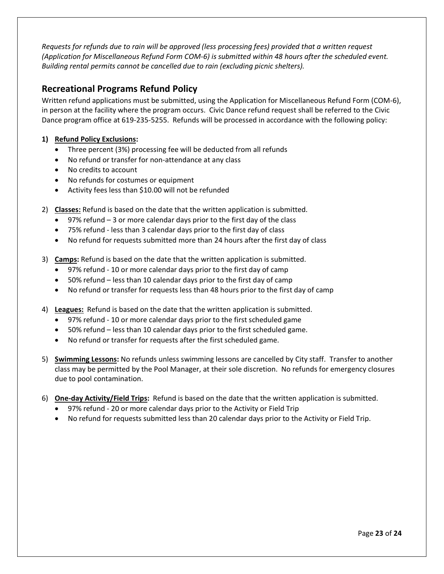*Requests for refunds due to rain will be approved (less processing fees) provided that a written request (Application for Miscellaneous Refund Form COM-6) is submitted within 48 hours after the scheduled event. Building rental permits cannot be cancelled due to rain (excluding picnic shelters).*

## <span id="page-22-0"></span>**Recreational Programs Refund Policy**

Written refund applications must be submitted, using the Application for Miscellaneous Refund Form (COM-6), in person at the facility where the program occurs. Civic Dance refund request shall be referred to the Civic Dance program office at 619-235-5255. Refunds will be processed in accordance with the following policy:

#### **1) Refund Policy Exclusions:**

- Three percent (3%) processing fee will be deducted from all refunds
- No refund or transfer for non-attendance at any class
- No credits to account
- No refunds for costumes or equipment
- Activity fees less than \$10.00 will not be refunded
- 2) **Classes:** Refund is based on the date that the written application is submitted.
	- 97% refund 3 or more calendar days prior to the first day of the class
	- 75% refund less than 3 calendar days prior to the first day of class
	- No refund for requests submitted more than 24 hours after the first day of class
- 3) **Camps:** Refund is based on the date that the written application is submitted.
	- 97% refund 10 or more calendar days prior to the first day of camp
	- 50% refund less than 10 calendar days prior to the first day of camp
	- No refund or transfer for requests less than 48 hours prior to the first day of camp
- 4) **Leagues:** Refund is based on the date that the written application is submitted.
	- 97% refund 10 or more calendar days prior to the first scheduled game
	- 50% refund less than 10 calendar days prior to the first scheduled game.
	- No refund or transfer for requests after the first scheduled game.
- 5) **Swimming Lessons:** No refunds unless swimming lessons are cancelled by City staff. Transfer to another class may be permitted by the Pool Manager, at their sole discretion. No refunds for emergency closures due to pool contamination.
- 6) **One-day Activity/Field Trips:** Refund is based on the date that the written application is submitted.
	- 97% refund 20 or more calendar days prior to the Activity or Field Trip
	- No refund for requests submitted less than 20 calendar days prior to the Activity or Field Trip.